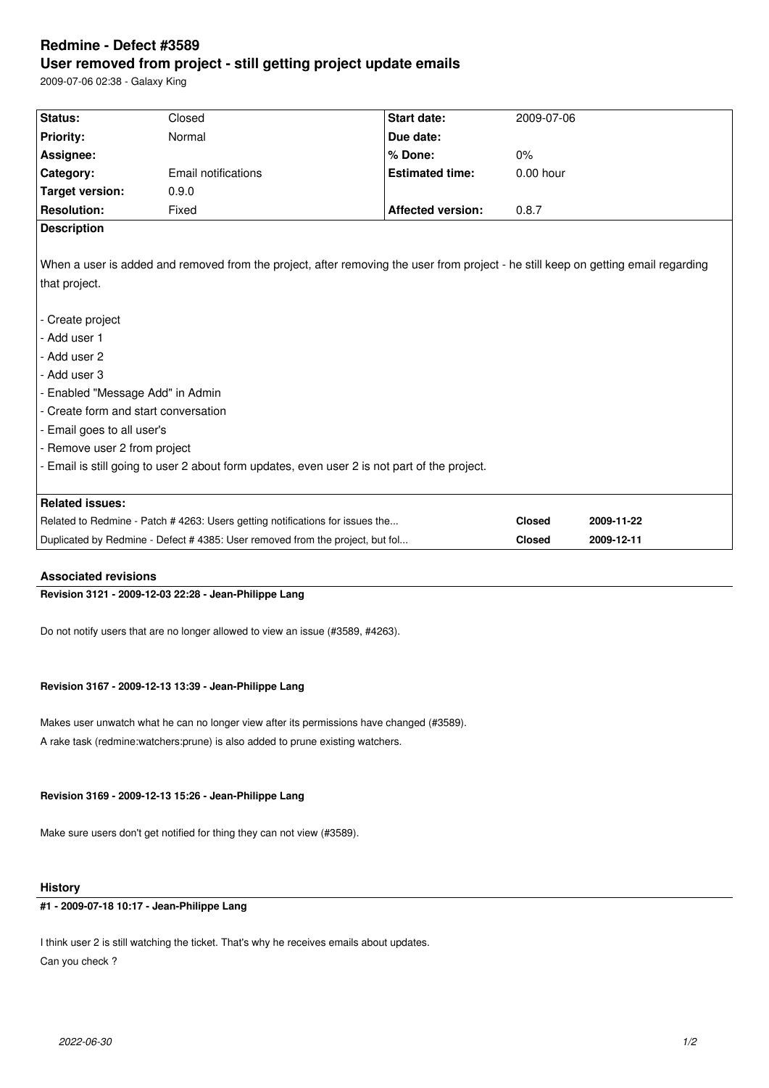# **Redmine - Defect #3589 User removed from project - still getting project update emails**

2009-07-06 02:38 - Galaxy King

| Status:                                                                                                                            | Closed              | <b>Start date:</b>                                                                           | 2009-07-06    |            |
|------------------------------------------------------------------------------------------------------------------------------------|---------------------|----------------------------------------------------------------------------------------------|---------------|------------|
|                                                                                                                                    |                     |                                                                                              |               |            |
| <b>Priority:</b>                                                                                                                   | Normal              | Due date:                                                                                    |               |            |
| Assignee:                                                                                                                          |                     | % Done:                                                                                      | $0\%$         |            |
| Category:                                                                                                                          | Email notifications | <b>Estimated time:</b>                                                                       | $0.00$ hour   |            |
| <b>Target version:</b>                                                                                                             | 0.9.0               |                                                                                              |               |            |
| <b>Resolution:</b>                                                                                                                 | Fixed               | <b>Affected version:</b>                                                                     | 0.8.7         |            |
| <b>Description</b>                                                                                                                 |                     |                                                                                              |               |            |
|                                                                                                                                    |                     |                                                                                              |               |            |
| When a user is added and removed from the project, after removing the user from project - he still keep on getting email regarding |                     |                                                                                              |               |            |
| that project.                                                                                                                      |                     |                                                                                              |               |            |
|                                                                                                                                    |                     |                                                                                              |               |            |
| - Create project                                                                                                                   |                     |                                                                                              |               |            |
| - Add user 1                                                                                                                       |                     |                                                                                              |               |            |
| - Add user 2                                                                                                                       |                     |                                                                                              |               |            |
| - Add user 3                                                                                                                       |                     |                                                                                              |               |            |
| - Enabled "Message Add" in Admin                                                                                                   |                     |                                                                                              |               |            |
| - Create form and start conversation                                                                                               |                     |                                                                                              |               |            |
| - Email goes to all user's                                                                                                         |                     |                                                                                              |               |            |
| - Remove user 2 from project                                                                                                       |                     |                                                                                              |               |            |
|                                                                                                                                    |                     | - Email is still going to user 2 about form updates, even user 2 is not part of the project. |               |            |
|                                                                                                                                    |                     |                                                                                              |               |            |
| <b>Related issues:</b>                                                                                                             |                     |                                                                                              |               |            |
| Related to Redmine - Patch # 4263: Users getting notifications for issues the                                                      |                     |                                                                                              | <b>Closed</b> | 2009-11-22 |
| Duplicated by Redmine - Defect # 4385: User removed from the project, but fol                                                      |                     |                                                                                              | <b>Closed</b> | 2009-12-11 |

### **Associated revisions**

## **Revision 3121 - 2009-12-03 22:28 - Jean-Philippe Lang**

Do not notify users that are no longer allowed to view an issue (#3589, #4263).

## **Revision 3167 - 2009-12-13 13:39 - Jean-Philippe Lang**

Makes user unwatch what he can no longer view after its permissions have changed (#3589). A rake task (redmine:watchers:prune) is also added to prune existing watchers.

### **Revision 3169 - 2009-12-13 15:26 - Jean-Philippe Lang**

Make sure users don't get notified for thing they can not view (#3589).

#### **History**

## **#1 - 2009-07-18 10:17 - Jean-Philippe Lang**

I think user 2 is still watching the ticket. That's why he receives emails about updates. Can you check ?